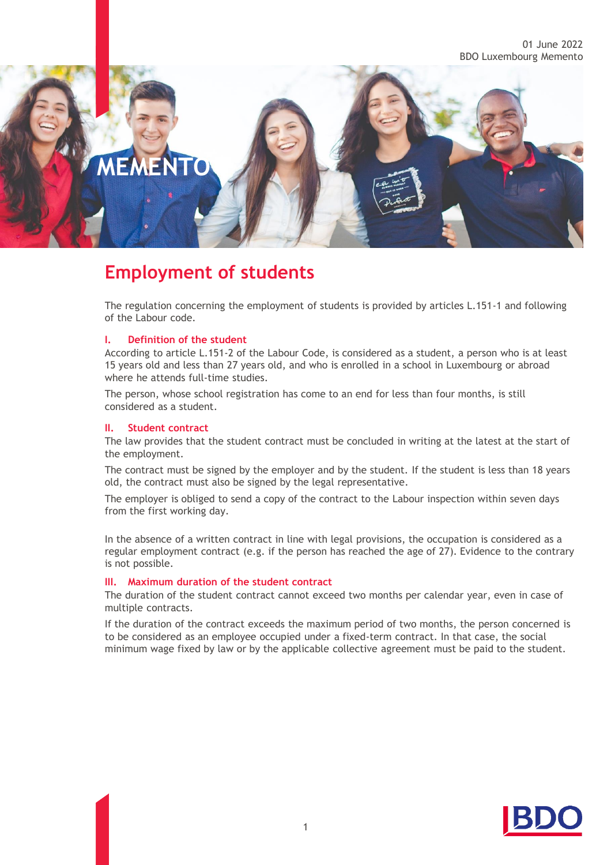# **MEMENTO**

## **Employment of students**

The regulation concerning the employment of students is provided by articles L.151-1 and following of the Labour code.

#### **I. Definition of the student**

According to article L.151-2 of the Labour Code, is considered as a student, a person who is at least 15 years old and less than 27 years old, and who is enrolled in a school in Luxembourg or abroad where he attends full-time studies.

The person, whose school registration has come to an end for less than four months, is still considered as a student.

#### **II. Student contract**

The law provides that the student contract must be concluded in writing at the latest at the start of the employment.

The contract must be signed by the employer and by the student. If the student is less than 18 years old, the contract must also be signed by the legal representative.

The employer is obliged to send a copy of the contract to the Labour inspection within seven days from the first working day.

In the absence of a written contract in line with legal provisions, the occupation is considered as a regular employment contract (e.g. if the person has reached the age of 27). Evidence to the contrary is not possible.

#### **III. Maximum duration of the student contract**

The duration of the student contract cannot exceed two months per calendar year, even in case of multiple contracts.

If the duration of the contract exceeds the maximum period of two months, the person concerned is to be considered as an employee occupied under a fixed-term contract. In that case, the social minimum wage fixed by law or by the applicable collective agreement must be paid to the student.

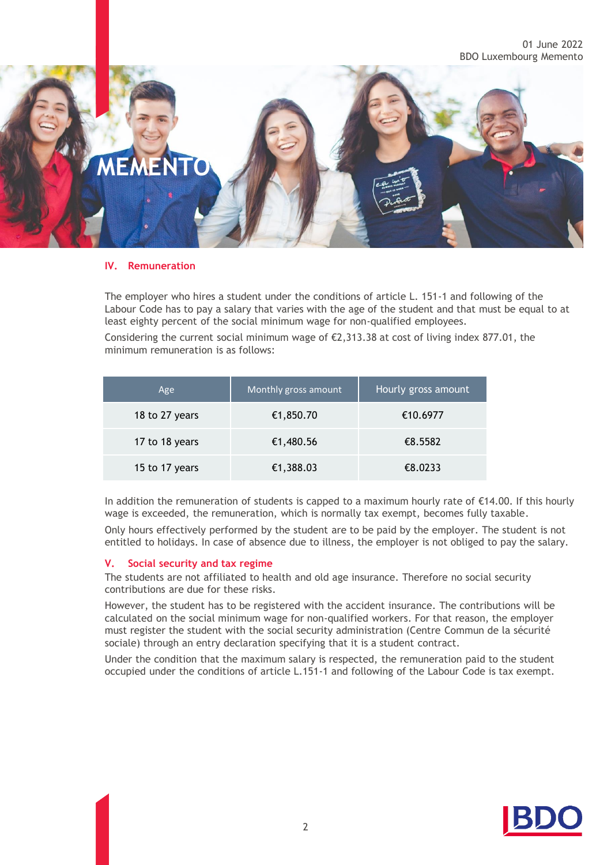

#### **IV. Remuneration**

The employer who hires a student under the conditions of article L. 151-1 and following of the Labour Code has to pay a salary that varies with the age of the student and that must be equal to at least eighty percent of the social minimum wage for non-qualified employees.

Considering the current social minimum wage of  $\epsilon$ 2,313.38 at cost of living index 877.01, the minimum remuneration is as follows:

| Age            | Monthly gross amount | Hourly gross amount |
|----------------|----------------------|---------------------|
| 18 to 27 years | €1,850.70            | €10.6977            |
| 17 to 18 years | €1,480.56            | €8.5582             |
| 15 to 17 years | €1,388.03            | €8.0233             |

In addition the remuneration of students is capped to a maximum hourly rate of €14.00. If this hourly wage is exceeded, the remuneration, which is normally tax exempt, becomes fully taxable.

Only hours effectively performed by the student are to be paid by the employer. The student is not entitled to holidays. In case of absence due to illness, the employer is not obliged to pay the salary.

#### **V. Social security and tax regime**

The students are not affiliated to health and old age insurance. Therefore no social security contributions are due for these risks.

However, the student has to be registered with the accident insurance. The contributions will be calculated on the social minimum wage for non-qualified workers. For that reason, the employer must register the student with the social security administration (Centre Commun de la sécurité sociale) through an entry declaration specifying that it is a student contract.

Under the condition that the maximum salary is respected, the remuneration paid to the student occupied under the conditions of article L.151-1 and following of the Labour Code is tax exempt.

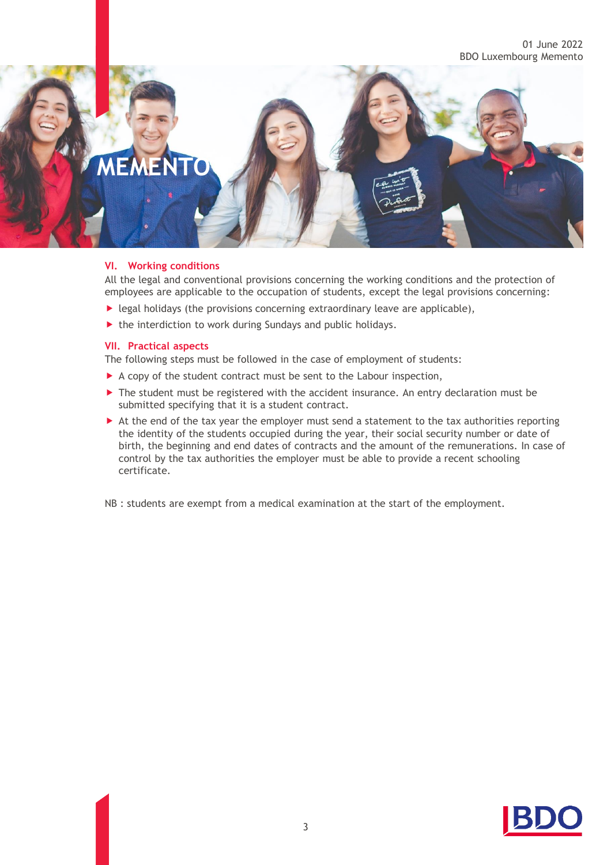## **MEMENTO**

#### **VI. Working conditions**

All the legal and conventional provisions concerning the working conditions and the protection of employees are applicable to the occupation of students, except the legal provisions concerning:

- $\blacktriangleright$  legal holidays (the provisions concerning extraordinary leave are applicable),
- $\blacktriangleright$  the interdiction to work during Sundays and public holidays.

#### **VII. Practical aspects**

The following steps must be followed in the case of employment of students:

- A copy of the student contract must be sent to the Labour inspection,
- $\blacktriangleright$  The student must be registered with the accident insurance. An entry declaration must be submitted specifying that it is a student contract.
- At the end of the tax year the employer must send a statement to the tax authorities reporting the identity of the students occupied during the year, their social security number or date of birth, the beginning and end dates of contracts and the amount of the remunerations. In case of control by the tax authorities the employer must be able to provide a recent schooling certificate.

NB : students are exempt from a medical examination at the start of the employment.